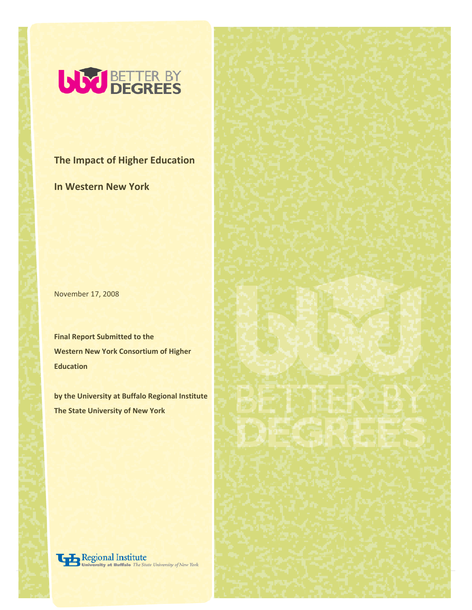

**The Impact of Higher Education** 

**In Western New York**

November 17, 2008

**Final Report Submitted to the Western New York Consortium of Higher Education** 

**by the University at Buffalo Regional Institute The State University of New York**

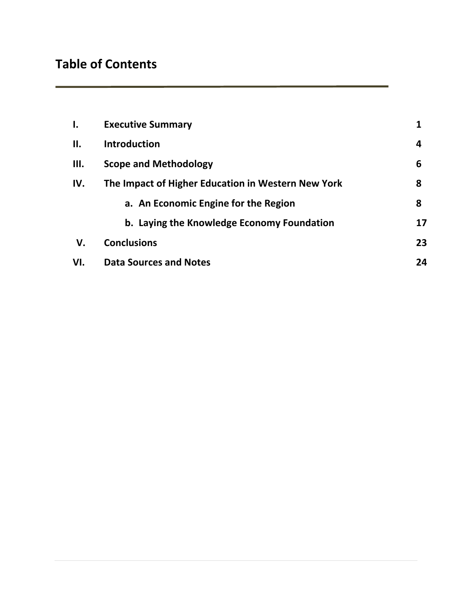# **Table of Contents**

| $\mathbf{l}$ . | <b>Executive Summary</b>                           |    |
|----------------|----------------------------------------------------|----|
| Н.             | <b>Introduction</b>                                | 4  |
| III.           | <b>Scope and Methodology</b>                       | 6  |
| IV.            | The Impact of Higher Education in Western New York | 8  |
|                | a. An Economic Engine for the Region               | 8  |
|                | b. Laying the Knowledge Economy Foundation         | 17 |
| V.             | <b>Conclusions</b>                                 | 23 |
| VI.            | <b>Data Sources and Notes</b>                      | 24 |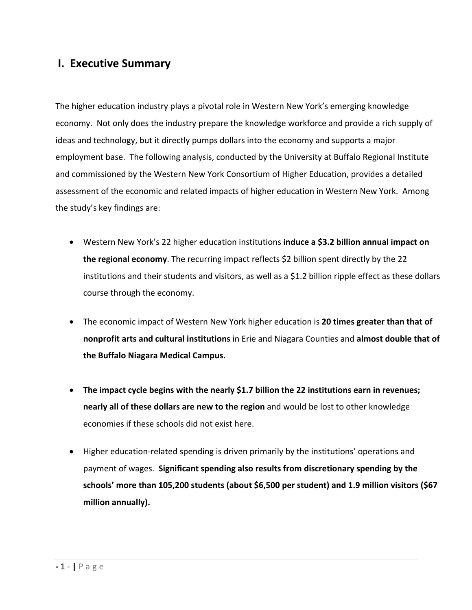## **I. Executive Summary**

The higher education industry plays a pivotal role in Western New York's emerging knowledge economy. Not only does the industry prepare the knowledge workforce and provide a rich supply of ideas and technology, but it directly pumps dollars into the economy and supports a major employment base. The following analysis, conducted by the University at Buffalo Regional Institute and commissioned by the Western New York Consortium of Higher Education, provides a detailed assessment of the economic and related impacts of higher education in Western New York. Among the study's key findings are:

- Western New York's 22 higher education institutions **induce a \$3.2 billion annual impact on the regional economy**. The recurring impact reflects \$2 billion spent directly by the 22 institutions and their students and visitors, as well as a \$1.2 billion ripple effect as these dollars course through the economy.
- The economic impact of Western New York higher education is **20 times greater than that of nonprofit arts and cultural institutions** in Erie and Niagara Counties and **almost double that of the Buffalo Niagara Medical Campus.**
- **The impact cycle begins with the nearly \$1.7 billion the 22 institutions earn in revenues; nearly all of these dollars are new to the region** and would be lost to other knowledge economies if these schools did not exist here.
- Higher education-related spending is driven primarily by the institutions' operations and payment of wages. **Significant spending also results from discretionary spending by the schools' more than 105,200 students (about \$6,500 per student) and 1.9 million visitors (\$67 million annually).**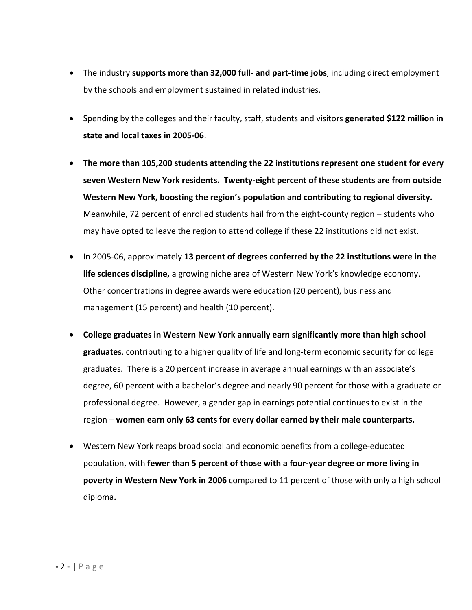- The industry **supports more than 32,000 full‐ and part‐time jobs**, including direct employment by the schools and employment sustained in related industries.
- Spending by the colleges and their faculty, staff, students and visitors **generated \$122 million in state and local taxes in 2005‐06**.
- **The more than 105,200 students attending the 22 institutions represent one student for every seven Western New York residents. Twenty‐eight percent of these students are from outside Western New York, boosting the region's population and contributing to regional diversity.**  Meanwhile, 72 percent of enrolled students hail from the eight‐county region – students who may have opted to leave the region to attend college if these 22 institutions did not exist.
- In 2005‐06, approximately **13 percent of degrees conferred by the 22 institutions were in the life sciences discipline,** a growing niche area of Western New York's knowledge economy. Other concentrations in degree awards were education (20 percent), business and management (15 percent) and health (10 percent).
- **College graduates in Western New York annually earn significantly more than high school graduates**, contributing to a higher quality of life and long‐term economic security for college graduates. There is a 20 percent increase in average annual earnings with an associate's degree, 60 percent with a bachelor's degree and nearly 90 percent for those with a graduate or professional degree. However, a gender gap in earnings potential continues to exist in the region – **women earn only 63 cents for every dollar earned by their male counterparts.**
- Western New York reaps broad social and economic benefits from a college‐educated population, with **fewer than 5 percent of those with a four‐year degree or more living in poverty in Western New York in 2006** compared to 11 percent of those with only a high school diploma**.**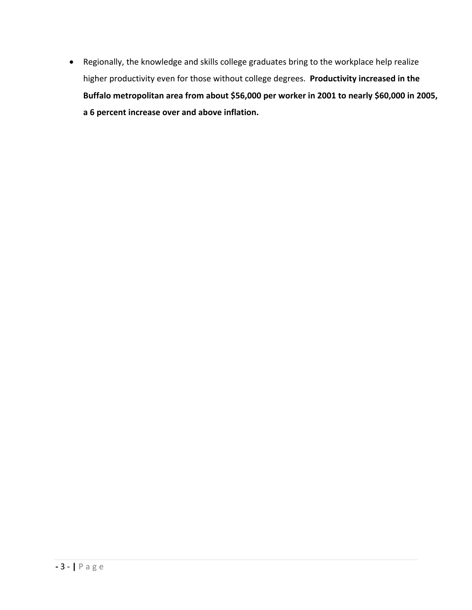• Regionally, the knowledge and skills college graduates bring to the workplace help realize higher productivity even for those without college degrees. **Productivity increased in the Buffalo metropolitan area from about \$56,000 per worker in 2001 to nearly \$60,000 in 2005, a 6 percent increase over and above inflation.**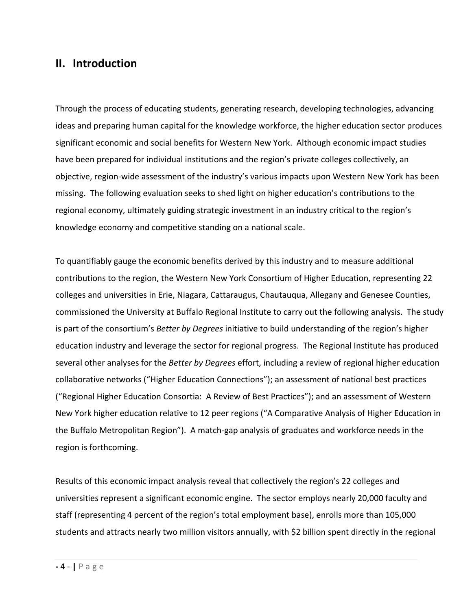## **II. Introduction**

Through the process of educating students, generating research, developing technologies, advancing ideas and preparing human capital for the knowledge workforce, the higher education sector produces significant economic and social benefits for Western New York. Although economic impact studies have been prepared for individual institutions and the region's private colleges collectively, an objective, region‐wide assessment of the industry's various impacts upon Western New York has been missing. The following evaluation seeks to shed light on higher education's contributions to the regional economy, ultimately guiding strategic investment in an industry critical to the region's knowledge economy and competitive standing on a national scale.

To quantifiably gauge the economic benefits derived by this industry and to measure additional contributions to the region, the Western New York Consortium of Higher Education, representing 22 colleges and universities in Erie, Niagara, Cattaraugus, Chautauqua, Allegany and Genesee Counties, commissioned the University at Buffalo Regional Institute to carry out the following analysis. The study is part of the consortium's *Better by Degrees* initiative to build understanding of the region's higher education industry and leverage the sector for regional progress. The Regional Institute has produced several other analyses for the *Better by Degrees* effort, including a review of regional higher education collaborative networks ("Higher Education Connections"); an assessment of national best practices ("Regional Higher Education Consortia: A Review of Best Practices"); and an assessment of Western New York higher education relative to 12 peer regions ("A Comparative Analysis of Higher Education in the Buffalo Metropolitan Region"). A match‐gap analysis of graduates and workforce needs in the region is forthcoming.

Results of this economic impact analysis reveal that collectively the region's 22 colleges and universities represent a significant economic engine. The sector employs nearly 20,000 faculty and staff (representing 4 percent of the region's total employment base), enrolls more than 105,000 students and attracts nearly two million visitors annually, with \$2 billion spent directly in the regional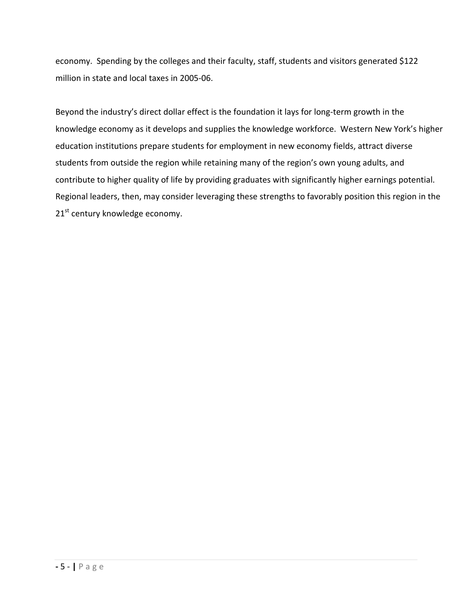economy. Spending by the colleges and their faculty, staff, students and visitors generated \$122 million in state and local taxes in 2005‐06.

Beyond the industry's direct dollar effect is the foundation it lays for long‐term growth in the knowledge economy as it develops and supplies the knowledge workforce. Western New York's higher education institutions prepare students for employment in new economy fields, attract diverse students from outside the region while retaining many of the region's own young adults, and contribute to higher quality of life by providing graduates with significantly higher earnings potential. Regional leaders, then, may consider leveraging these strengths to favorably position this region in the  $21<sup>st</sup>$  century knowledge economy.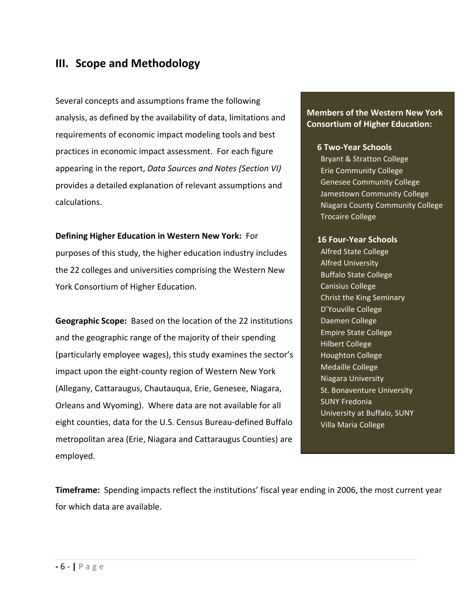## **III. Scope and Methodology**

Several concepts and assumptions frame the following analysis, as defined by the availability of data, limitations and requirements of economic impact modeling tools and best practices in economic impact assessment. For each figure appearing in the report, *Data Sources and Notes (Section VI)* provides a detailed explanation of relevant assumptions and calculations.

**Defining Higher Education in Western New York:** For purposes of this study, the higher education industry includes the 22 colleges and universities comprising the Western New York Consortium of Higher Education.

**Geographic Scope:** Based on the location of the 22 institutions and the geographic range of the majority of their spending (particularly employee wages), this study examines the sector's impact upon the eight‐county region of Western New York (Allegany, Cattaraugus, Chautauqua, Erie, Genesee, Niagara, Orleans and Wyoming). Where data are not available for all eight counties, data for the U.S. Census Bureau‐defined Buffalo metropolitan area (Erie, Niagara and Cattaraugus Counties) are employed.

### **Members of the Western New York Consortium of Higher Education:**

#### **6 Two‐Year Schools**

Bryant & Stratton College Erie Community College Genesee Community College Jamestown Community College Niagara County Community College Trocaire College

#### **16 Four‐Year Schools**

Alfred State College Alfred University Buffalo State College Canisius College Christ the King Seminary D'Youville College Daemen College Empire State College Hilbert College Houghton College Medaille College Niagara University St. Bonaventure University SUNY Fredonia University at Buffalo, SUNY Villa Maria College

**Timeframe:** Spending impacts reflect the institutions' fiscal year ending in 2006, the most current year for which data are available.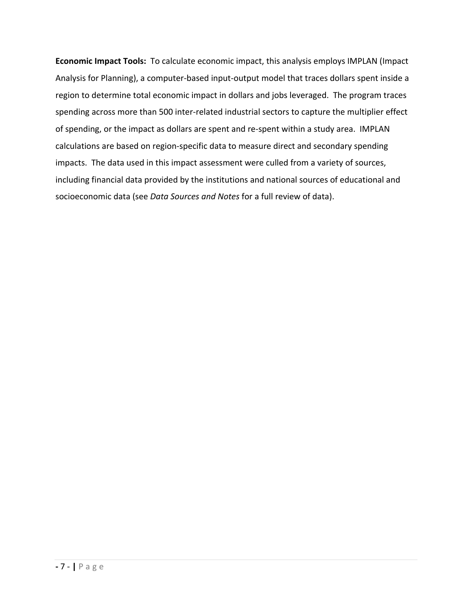**Economic Impact Tools:** To calculate economic impact, this analysis employs IMPLAN (Impact Analysis for Planning), a computer‐based input‐output model that traces dollars spent inside a region to determine total economic impact in dollars and jobs leveraged. The program traces spending across more than 500 inter-related industrial sectors to capture the multiplier effect of spending, or the impact as dollars are spent and re‐spent within a study area. IMPLAN calculations are based on region‐specific data to measure direct and secondary spending impacts. The data used in this impact assessment were culled from a variety of sources, including financial data provided by the institutions and national sources of educational and socioeconomic data (see *Data Sources and Notes* for a full review of data).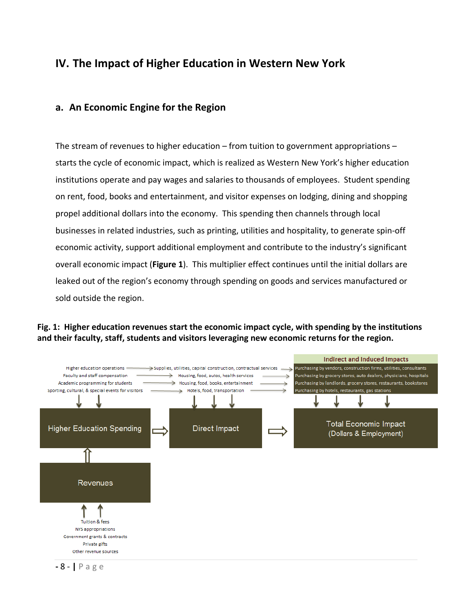## **IV. The Impact of Higher Education in Western New York**

### **a. An Economic Engine for the Region**

The stream of revenues to higher education – from tuition to government appropriations – starts the cycle of economic impact, which is realized as Western New York's higher education institutions operate and pay wages and salaries to thousands of employees. Student spending on rent, food, books and entertainment, and visitor expenses on lodging, dining and shopping propel additional dollars into the economy. This spending then channels through local businesses in related industries, such as printing, utilities and hospitality, to generate spin‐off economic activity, support additional employment and contribute to the industry's significant overall economic impact (**Figure 1**). This multiplier effect continues until the initial dollars are leaked out of the region's economy through spending on goods and services manufactured or sold outside the region.

#### **Fig. 1: Higher education revenues start the economic impact cycle, with spending by the institutions and their faculty, staff, students and visitors leveraging new economic returns for the region.**



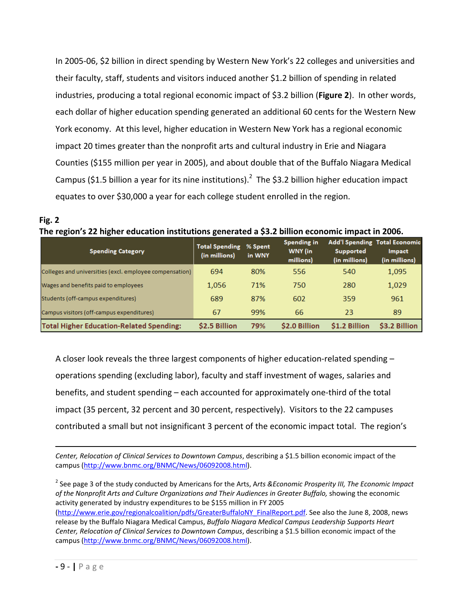In 2005‐06, \$2 billion in direct spending by Western New York's 22 colleges and universities and their faculty, staff, students and visitors induced another \$1.2 billion of spending in related industries, producing a total regional economic impact of \$3.2 billion (**Figure 2**). In other words, each dollar of higher education spending generated an additional 60 cents for the Western New York economy. At this level, higher education in Western New York has a regional economic impact 20 times greater than the nonprofit arts and cultural industry in Erie and Niagara Counties (\$155 million per year in 2005), and about double that of the Buffalo Niagara Medical Campus (\$1.5 billion a year for its nine institutions).<sup>2</sup> The \$3.2 billion higher education impact equates to over \$30,000 a year for each college student enrolled in the region.

| Fig. 2                                                                                           |
|--------------------------------------------------------------------------------------------------|
| The region's 22 higher education institutions generated a \$3.2 billion economic impact in 2006. |

| <b>Spending Category</b>                                | <b>Total Spending</b><br>(in millions) | % Spent<br>in WNY | Spending in<br>WNY (in<br>millions) | Supported<br>(in millions) | <b>Add'l Spending Total Economic</b><br><b>Impact</b><br>(in millions) |
|---------------------------------------------------------|----------------------------------------|-------------------|-------------------------------------|----------------------------|------------------------------------------------------------------------|
| Colleges and universities (excl. employee compensation) | 694                                    | 80%               | 556                                 | 540                        | 1,095                                                                  |
| Wages and benefits paid to employees                    | 1.056                                  | 71%               | 750                                 | 280                        | 1,029                                                                  |
| Students (off-campus expenditures)                      | 689                                    | 87%               | 602                                 | 359                        | 961                                                                    |
| Campus visitors (off-campus expenditures)               | 67                                     | 99%               | 66                                  | 23                         | 89                                                                     |
| <b>Total Higher Education-Related Spending:</b>         | \$2.5 Billion                          | 79%               | \$2.0 Billion                       | \$1.2 Billion              | \$3.2 Billion                                                          |

A closer look reveals the three largest components of higher education-related spending – operations spending (excluding labor), faculty and staff investment of wages, salaries and benefits, and student spending – each accounted for approximately one‐third of the total impact (35 percent, 32 percent and 30 percent, respectively). Visitors to the 22 campuses contributed a small but not insignificant 3 percent of the economic impact total. The region's

*Center, Relocation of Clinical Services to Downtown Campus*, describing a \$1.5 billion economic impact of the campus (http://www.bnmc.org/BNMC/News/06092008.html).

<sup>2</sup> See page 3 of the study conducted by Americans for the Arts, A*rts &Economic Prosperity III, The Economic Impact of the Nonprofit Arts and Culture Organizations and Their Audiences in Greater Buffalo,* showing the economic activity generated by industry expenditures to be \$155 million in FY 2005 (http://www.erie.gov/regionalcoalition/pdfs/GreaterBuffaloNY\_FinalReport.pdf. See also the June 8, 2008, news release by the Buffalo Niagara Medical Campus, *Buffalo Niagara Medical Campus Leadership Supports Heart Center, Relocation of Clinical Services to Downtown Campus*, describing a \$1.5 billion economic impact of the campus (http://www.bnmc.org/BNMC/News/06092008.html).

 $\overline{a}$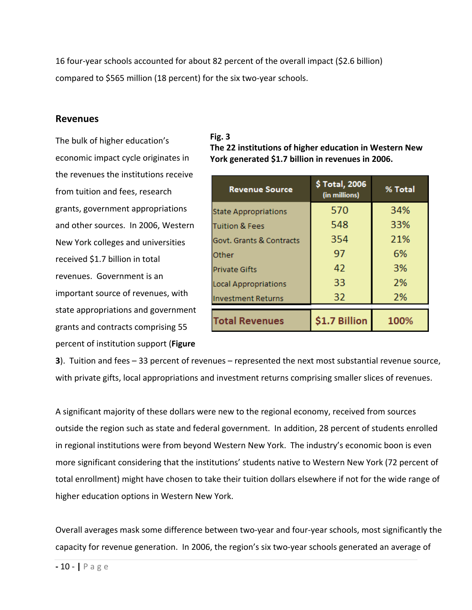16 four‐year schools accounted for about 82 percent of the overall impact (\$2.6 billion) compared to \$565 million (18 percent) for the six two-year schools.

#### **Revenues**

The bulk of higher education's economic impact cycle originates in the revenues the institutions receive from tuition and fees, research grants, government appropriations and other sources. In 2006, Western New York colleges and universities received \$1.7 billion in total revenues. Government is an important source of revenues, with state appropriations and government grants and contracts comprising 55 percent of institution support (**Figure**

#### **Fig. 3**

**The 22 institutions of higher education in Western New York generated \$1.7 billion in revenues in 2006.**

| <b>Revenue Source</b>       | \$Total, 2006<br>(in millions) | % Total |
|-----------------------------|--------------------------------|---------|
| <b>State Appropriations</b> | 570                            | 34%     |
| Tuition & Fees              | 548                            | 33%     |
| Govt. Grants & Contracts    | 354                            | 21%     |
| Other                       | 97                             | 6%      |
| <b>Private Gifts</b>        | 42                             | 3%      |
| <b>Local Appropriations</b> | 33                             | 2%      |
| <b>Investment Returns</b>   | 32                             | 2%      |
| <b>Total Revenues</b>       | \$1.7 Billion                  | 100%    |

**3**). Tuition and fees – 33 percent of revenues – represented the next most substantial revenue source, with private gifts, local appropriations and investment returns comprising smaller slices of revenues.

A significant majority of these dollars were new to the regional economy, received from sources outside the region such as state and federal government. In addition, 28 percent of students enrolled in regional institutions were from beyond Western New York. The industry's economic boon is even more significant considering that the institutions' students native to Western New York (72 percent of total enrollment) might have chosen to take their tuition dollars elsewhere if not for the wide range of higher education options in Western New York.

Overall averages mask some difference between two‐year and four‐year schools, most significantly the capacity for revenue generation. In 2006, the region's six two-year schools generated an average of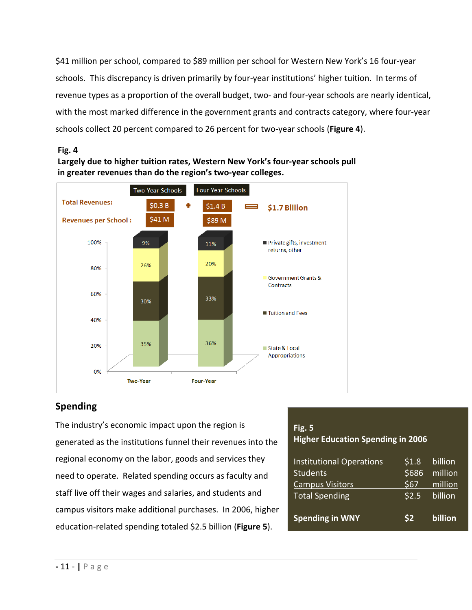\$41 million per school, compared to \$89 million per school for Western New York's 16 four‐year schools. This discrepancy is driven primarily by four‐year institutions' higher tuition. In terms of revenue types as a proportion of the overall budget, two- and four-year schools are nearly identical, with the most marked difference in the government grants and contracts category, where four-year schools collect 20 percent compared to 26 percent for two‐year schools (**Figure 4**).

#### **Fig. 4**





### **Spending**

The industry's economic impact upon the region is generated as the institutions funnel their revenues into the regional economy on the labor, goods and services they need to operate. Related spending occurs as faculty and staff live off their wages and salaries, and students and campus visitors make additional purchases. In 2006, higher education‐related spending totaled \$2.5 billion (**Figure 5**).

| Fig. $5$                                 |
|------------------------------------------|
| <b>Higher Education Spending in 2006</b> |

| <b>Institutional Operations</b> | \$1.8          | billion |
|---------------------------------|----------------|---------|
| <b>Students</b>                 | \$686          | million |
| <b>Campus Visitors</b>          | \$67           | million |
| <b>Total Spending</b>           | \$2.5          | billion |
|                                 |                |         |
| <b>Spending in WNY</b>          | S <sub>2</sub> | billion |
|                                 |                |         |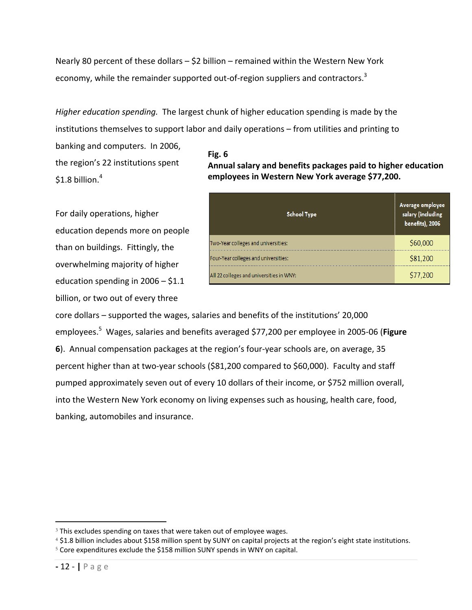Nearly 80 percent of these dollars – \$2 billion – remained within the Western New York economy, while the remainder supported out-of-region suppliers and contractors.<sup>3</sup>

*Higher education spending.* The largest chunk of higher education spending is made by the institutions themselves to support labor and daily operations – from utilities and printing to

banking and computers. In 2006, the region's 22 institutions spent \$1.8 billion. $^4\,$ 

For daily operations, higher education depends more on people than on buildings. Fittingly, the overwhelming majority of higher education spending in 2006 – \$1.1 billion, or two out of every three

#### **Fig. 6 Annual salary and benefits packages paid to higher education employees in Western New York average \$77,200.**

| <b>School Type</b>                       | Average employee<br>salary (including<br>benefits), 2006 |
|------------------------------------------|----------------------------------------------------------|
| Two-Year colleges and universities:      | \$60,000                                                 |
| Four-Year colleges and universities:     | \$81,200                                                 |
| All 22 colleges and universities in WNY: | \$77,200                                                 |

core dollars – supported the wages, salaries and benefits of the institutions' 20,000 employees.5 Wages, salaries and benefits averaged \$77,200 per employee in 2005‐06 (**Figure 6**). Annual compensation packages at the region's four‐year schools are, on average, 35 percent higher than at two-year schools (\$81,200 compared to \$60,000). Faculty and staff pumped approximately seven out of every 10 dollars of their income, or \$752 million overall, into the Western New York economy on living expenses such as housing, health care, food, banking, automobiles and insurance.

 $\overline{a}$ 

<sup>&</sup>lt;sup>3</sup> This excludes spending on taxes that were taken out of employee wages.

<sup>4</sup> \$1.8 billion includes about \$158 million spent by SUNY on capital projects at the region's eight state institutions.

<sup>5</sup> Core expenditures exclude the \$158 million SUNY spends in WNY on capital.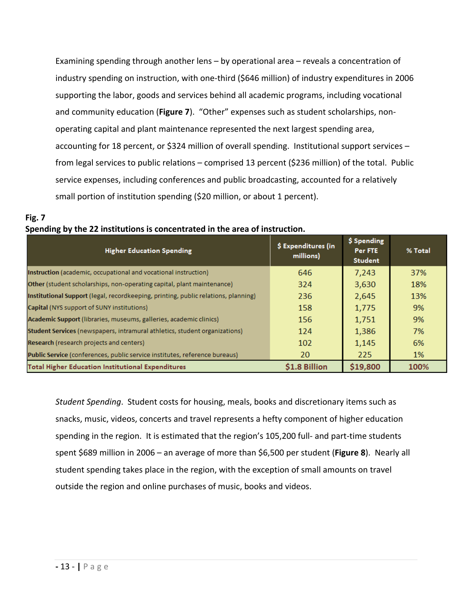Examining spending through another lens – by operational area – reveals a concentration of industry spending on instruction, with one‐third (\$646 million) of industry expenditures in 2006 supporting the labor, goods and services behind all academic programs, including vocational and community education (**Figure 7**). "Other" expenses such as student scholarships, non‐ operating capital and plant maintenance represented the next largest spending area, accounting for 18 percent, or \$324 million of overall spending. Institutional support services – from legal services to public relations – comprised 13 percent (\$236 million) of the total. Public service expenses, including conferences and public broadcasting, accounted for a relatively small portion of institution spending (\$20 million, or about 1 percent).

### **Fig. 7 Spending by the 22 institutions is concentrated in the area of instruction.**

| <b>Higher Education Spending</b>                                                   | \$ Expenditures (in<br>millions) | \$ Spending<br>Per FTE<br><b>Student</b> | % Total |
|------------------------------------------------------------------------------------|----------------------------------|------------------------------------------|---------|
| Instruction (academic, occupational and vocational instruction)                    | 646                              | 7,243                                    | 37%     |
| <b>Other</b> (student scholarships, non-operating capital, plant maintenance)      | 324                              | 3,630                                    | 18%     |
| Institutional Support (legal, recordkeeping, printing, public relations, planning) | 236                              | 2,645                                    | 13%     |
| Capital (NYS support of SUNY institutions)                                         | 158                              | 1,775                                    | 9%      |
| Academic Support (libraries, museums, galleries, academic clinics)                 | 156                              | 1,751                                    | 9%      |
| Student Services (newspapers, intramural athletics, student organizations)         | 124                              | 1,386                                    | 7%      |
| Research (research projects and centers)                                           | 102                              | 1,145                                    | 6%      |
| Public Service (conferences, public service institutes, reference bureaus)         | 20                               | 225                                      | 1%      |
| <b>Total Higher Education Institutional Expenditures</b>                           | \$1.8 Billion                    | \$19,800                                 | 100%    |

*Student Spending*. Student costs for housing, meals, books and discretionary items such as snacks, music, videos, concerts and travel represents a hefty component of higher education spending in the region. It is estimated that the region's 105,200 full- and part-time students spent \$689 million in 2006 – an average of more than \$6,500 per student (**Figure 8**). Nearly all student spending takes place in the region, with the exception of small amounts on travel outside the region and online purchases of music, books and videos.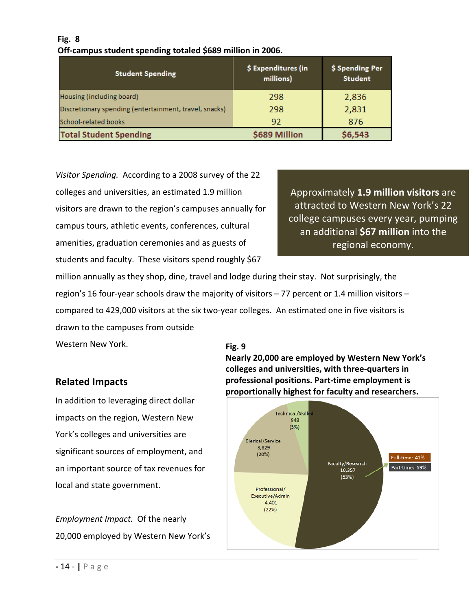### **Fig. 8 Off‐campus student spending totaled \$689 million in 2006.**

| <b>Student Spending</b>                                | \$ Expenditures (in<br>millions) | \$ Spending Per<br><b>Student</b> |
|--------------------------------------------------------|----------------------------------|-----------------------------------|
| Housing (including board)                              | 298                              | 2,836                             |
| Discretionary spending (entertainment, travel, snacks) | 298                              | 2,831                             |
| School-related books                                   | 92                               | 876                               |
| <b>Total Student Spending</b>                          | \$689 Million                    | \$6,543                           |

*Visitor Spending.* According to a 2008 survey of the 22 colleges and universities, an estimated 1.9 million visitors are drawn to the region's campuses annually for campus tours, athletic events, conferences, cultural amenities, graduation ceremonies and as guests of students and faculty. These visitors spend roughly \$67

Approximately **1.9 million visitors** are attracted to Western New York's 22 college campuses every year, pumping an additional **\$67 million** into the regional economy.

million annually as they shop, dine, travel and lodge during their stay. Not surprisingly, the region's 16 four‐year schools draw the majority of visitors – 77 percent or 1.4 million visitors – compared to 429,000 visitors at the six two‐year colleges. An estimated one in five visitors is drawn to the campuses from outside

Western New York.

#### **Fig. 9**

**Nearly 20,000 are employed by Western New York's colleges and universities, with three‐quarters in professional positions. Part‐time employment is proportionally highest for faculty and researchers.** 



### **Related Impacts**

In addition to leveraging direct dollar impacts on the region, Western New York's colleges and universities are significant sources of employment, and an important source of tax revenues for local and state government.

*Employment Impact.* Of the nearly 20,000 employed by Western New York's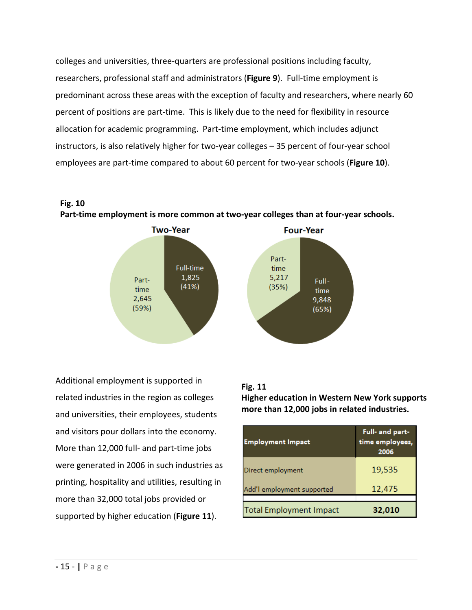colleges and universities, three‐quarters are professional positions including faculty, researchers, professional staff and administrators (**Figure 9**). Full‐time employment is predominant across these areas with the exception of faculty and researchers, where nearly 60 percent of positions are part‐time. This is likely due to the need for flexibility in resource allocation for academic programming. Part‐time employment, which includes adjunct instructors, is also relatively higher for two-year colleges – 35 percent of four-year school employees are part‐time compared to about 60 percent for two‐year schools (**Figure 10**).

**Fig. 10** 





Additional employment is supported in related industries in the region as colleges and universities, their employees, students and visitors pour dollars into the economy. More than 12,000 full‐ and part‐time jobs were generated in 2006 in such industries as printing, hospitality and utilities, resulting in more than 32,000 total jobs provided or supported by higher education (**Figure 11**).

### **Fig. 11**

**Higher education in Western New York supports more than 12,000 jobs in related industries.**

| <b>Employment Impact</b>       | Full- and part-<br>time employees,<br>2006 |
|--------------------------------|--------------------------------------------|
| Direct employment              | 19,535                                     |
| Add'l employment supported     | 12,475                                     |
| <b>Total Employment Impact</b> | 32,010                                     |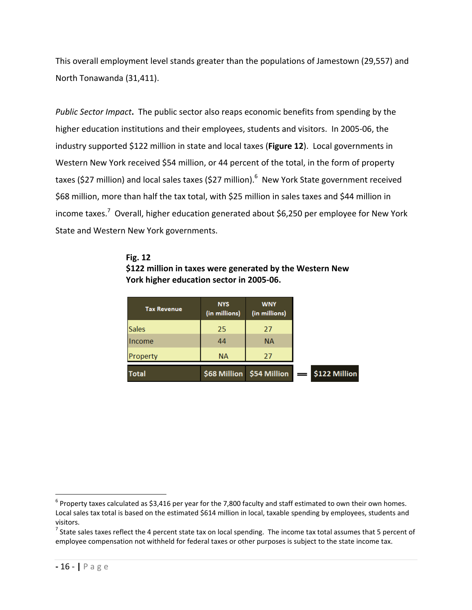This overall employment level stands greater than the populations of Jamestown (29,557) and North Tonawanda (31,411).

*Public Sector Impact***.** The public sector also reaps economic benefits from spending by the higher education institutions and their employees, students and visitors. In 2005‐06, the industry supported \$122 million in state and local taxes (**Figure 12**). Local governments in Western New York received \$54 million, or 44 percent of the total, in the form of property taxes (\$27 million) and local sales taxes (\$27 million).<sup>6</sup> New York State government received \$68 million, more than half the tax total, with \$25 million in sales taxes and \$44 million in income taxes.<sup>7</sup> Overall, higher education generated about \$6,250 per employee for New York State and Western New York governments.

#### **Fig. 12 \$122 million in taxes were generated by the Western New York higher education sector in 2005‐06.**

| <b>Tax Revenue</b> | <b>NYS</b><br>(in millions) | <b>WNY</b><br>(in millions)          |
|--------------------|-----------------------------|--------------------------------------|
| <b>Sales</b>       | 25                          | 27                                   |
| Income             | 44                          | <b>NA</b>                            |
| Property           | <b>NA</b>                   | 27                                   |
| <b>Total</b>       |                             | $$68$ Million $$54$ Million $\equiv$ |

 $\overline{a}$ 

 $6$  Property taxes calculated as \$3,416 per year for the 7,800 faculty and staff estimated to own their own homes. Local sales tax total is based on the estimated \$614 million in local, taxable spending by employees, students and visitors.

 $^7$  State sales taxes reflect the 4 percent state tax on local spending. The income tax total assumes that 5 percent of employee compensation not withheld for federal taxes or other purposes is subject to the state income tax.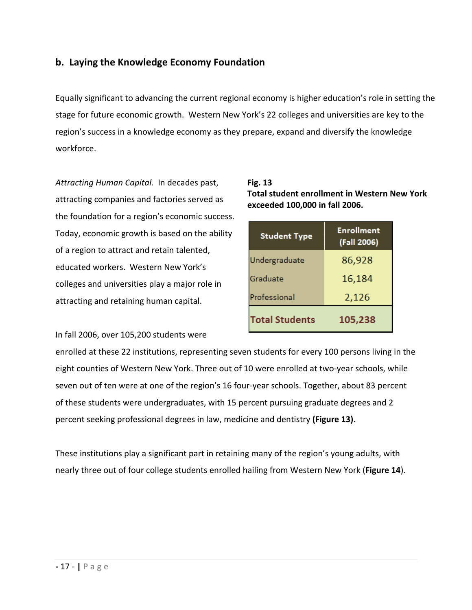### **b. Laying the Knowledge Economy Foundation**

Equally significant to advancing the current regional economy is higher education's role in setting the stage for future economic growth. Western New York's 22 colleges and universities are key to the region's success in a knowledge economy as they prepare, expand and diversify the knowledge workforce.

*Attracting Human Capital.* In decades past, attracting companies and factories served as the foundation for a region's economic success. Today, economic growth is based on the ability of a region to attract and retain talented, educated workers. Western New York's colleges and universities play a major role in attracting and retaining human capital.

**Fig. 13 Total student enrollment in Western New York exceeded 100,000 in fall 2006.**

| <b>Student Type</b>   | <b>Enrollment</b><br>(Fall 2006) |  |
|-----------------------|----------------------------------|--|
| Undergraduate         | 86,928                           |  |
| Graduate              | 16,184                           |  |
| Professional          | 2,126                            |  |
| <b>Total Students</b> | 105,238                          |  |

In fall 2006, over 105,200 students were

enrolled at these 22 institutions, representing seven students for every 100 persons living in the eight counties of Western New York. Three out of 10 were enrolled at two-year schools, while seven out of ten were at one of the region's 16 four-year schools. Together, about 83 percent of these students were undergraduates, with 15 percent pursuing graduate degrees and 2 percent seeking professional degrees in law, medicine and dentistry **(Figure 13)**.

These institutions play a significant part in retaining many of the region's young adults, with nearly three out of four college students enrolled hailing from Western New York (**Figure 14**).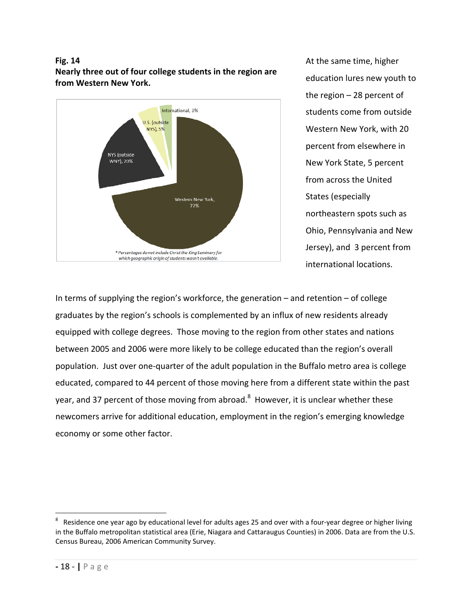#### **Fig. 14 Nearly three out of four college students in the region are from Western New York.**



At the same time, higher education lures new youth to the region – 28 percent of students come from outside Western New York, with 20 percent from elsewhere in New York State, 5 percent from across the United States (especially northeastern spots such as Ohio, Pennsylvania and New Jersey), and 3 percent from international locations.

In terms of supplying the region's workforce, the generation – and retention – of college graduates by the region's schools is complemented by an influx of new residents already equipped with college degrees. Those moving to the region from other states and nations between 2005 and 2006 were more likely to be college educated than the region's overall population. Just over one‐quarter of the adult population in the Buffalo metro area is college educated, compared to 44 percent of those moving here from a different state within the past year, and 37 percent of those moving from abroad.<sup>8</sup> However, it is unclear whether these newcomers arrive for additional education, employment in the region's emerging knowledge economy or some other factor.

-

<sup>8</sup> Residence one year ago by educational level for adults ages 25 and over with a four-year degree or higher living in the Buffalo metropolitan statistical area (Erie, Niagara and Cattaraugus Counties) in 2006. Data are from the U.S. Census Bureau, 2006 American Community Survey.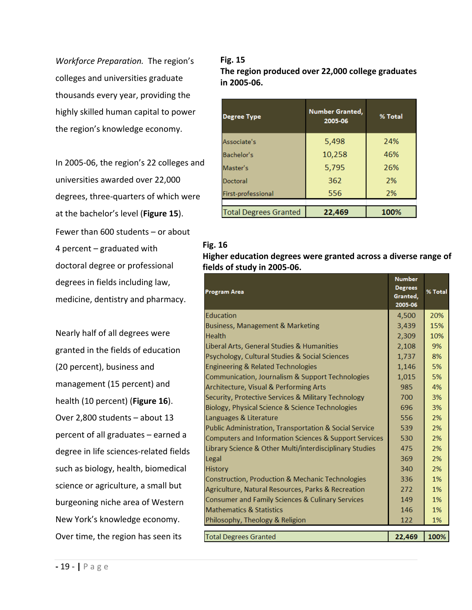*Workforce Preparation.* The region's colleges and universities graduate thousands every year, providing the highly skilled human capital to power the region's knowledge economy.

In 2005‐06, the region's 22 colleges and universities awarded over 22,000 degrees, three‐quarters of which were at the bachelor's level (**Figure 15**). Fewer than 600 students – or about 4 percent – graduated with doctoral degree or professional degrees in fields including law, medicine, dentistry and pharmacy.

Nearly half of all degrees were granted in the fields of education (20 percent), business and management (15 percent) and health (10 percent) (**Figure 16**). Over 2,800 students – about 13 percent of all graduates – earned a degree in life sciences‐related fields such as biology, health, biomedical science or agriculture, a small but burgeoning niche area of Western New York's knowledge economy. Over time, the region has seen its

**Fig. 15 The region produced over 22,000 college graduates in 2005‐06.**

| <b>Degree Type</b>           | Number Granted,<br>2005-06 | % Total |
|------------------------------|----------------------------|---------|
| Associate's                  | 5,498                      | 24%     |
| Bachelor's                   | 10,258                     | 46%     |
| Master's                     | 5,795                      | 26%     |
| Doctoral                     | 362                        | 2%      |
| First-professional           | 556                        | 2%      |
|                              |                            |         |
| <b>Total Degrees Granted</b> | 22,469                     | 100%    |

#### **Fig. 16**

**Higher education degrees were granted across a diverse range of fields of study in 2005‐06.**

|                                                         | <b>Number</b>  |         |
|---------------------------------------------------------|----------------|---------|
| <b>Program Area</b>                                     | <b>Degrees</b> | % Total |
|                                                         | Granted,       |         |
|                                                         | 2005-06        |         |
| Education                                               | 4,500          | 20%     |
| Business, Management & Marketing                        | 3,439          | 15%     |
| <b>Health</b>                                           | 2,309          | 10%     |
| Liberal Arts, General Studies & Humanities              | 2,108          | 9%      |
| Psychology, Cultural Studies & Social Sciences          | 1,737          | 8%      |
| <b>Engineering &amp; Related Technologies</b>           | 1,146          | 5%      |
| Communication, Journalism & Support Technologies        | 1,015          | 5%      |
| Architecture, Visual & Performing Arts                  | 985            | 4%      |
| Security, Protective Services & Military Technology     | 700            | 3%      |
| Biology, Physical Science & Science Technologies        | 696            | 3%      |
| Languages & Literature                                  | 556            | 2%      |
| Public Administration, Transportation & Social Service  | 539            | 2%      |
| Computers and Information Sciences & Support Services   | 530            | 2%      |
| Library Science & Other Multi/interdisciplinary Studies | 475            | 2%      |
| Legal                                                   | 369            | 2%      |
| <b>History</b>                                          | 340            | 2%      |
| Construction, Production & Mechanic Technologies        | 336            | 1%      |
| Agriculture, Natural Resources, Parks & Recreation      | 272            | 1%      |
| Consumer and Family Sciences & Culinary Services        | 149            | 1%      |
| <b>Mathematics &amp; Statistics</b>                     | 146            | 1%      |
| Philosophy, Theology & Religion                         | 122            | 1%      |
|                                                         |                |         |
| <b>Total Degrees Granted</b>                            | 22,469         | 100%    |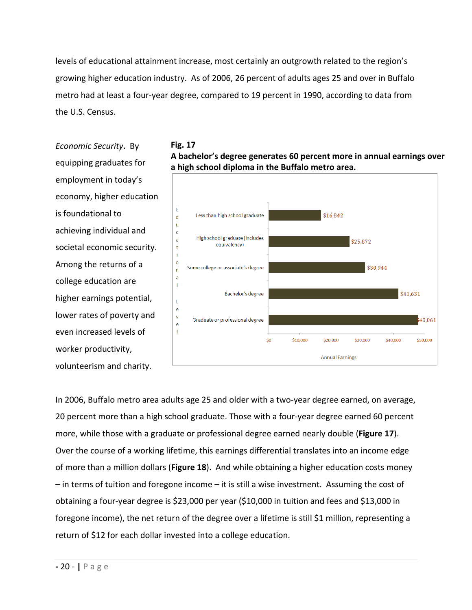levels of educational attainment increase, most certainly an outgrowth related to the region's growing higher education industry. As of 2006, 26 percent of adults ages 25 and over in Buffalo metro had at least a four‐year degree, compared to 19 percent in 1990, according to data from the U.S. Census.

*Economic Security***.** By equipping graduates for employment in today's economy, higher education is foundational to achieving individual and societal economic security. Among the returns of a college education are higher earnings potential, lower rates of poverty and even increased levels of worker productivity, volunteerism and charity.





In 2006, Buffalo metro area adults age 25 and older with a two-year degree earned, on average, 20 percent more than a high school graduate. Those with a four‐year degree earned 60 percent more, while those with a graduate or professional degree earned nearly double (**Figure 17**). Over the course of a working lifetime, this earnings differential translates into an income edge of more than a million dollars (**Figure 18**). And while obtaining a higher education costs money – in terms of tuition and foregone income – it is still a wise investment. Assuming the cost of obtaining a four‐year degree is \$23,000 per year (\$10,000 in tuition and fees and \$13,000 in foregone income), the net return of the degree over a lifetime is still \$1 million, representing a return of \$12 for each dollar invested into a college education.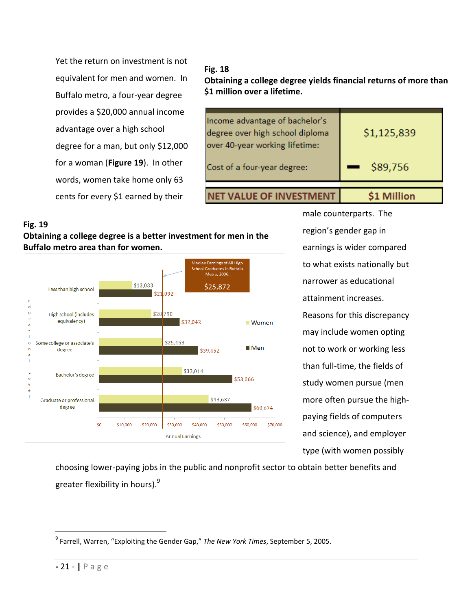Yet the return on investment is not equivalent for men and women. In Buffalo metro, a four‐year degree provides a \$20,000 annual income advantage over a high school degree for a man, but only \$12,000 for a woman (**Figure 19**). In other words, women take home only 63 cents for every \$1 earned by their

### **Fig. 18**

**Obtaining a college degree yields financial returns of more than \$1 million over a lifetime.**

| <b>LLUE OF INVESTMENT</b>                                                                           |             |
|-----------------------------------------------------------------------------------------------------|-------------|
| Cost of a four-year degree:                                                                         | \$89,756    |
| Income advantage of bachelor's<br>degree over high school diploma<br>over 40-year working lifetime: | \$1,125,839 |

#### **Fig. 19**

**Obtaining a college degree is a better investment for men in the Buffalo metro area than for women.**



male counterparts. The region's gender gap in earnings is wider compared to what exists nationally but narrower as educational attainment increases. Reasons for this discrepancy may include women opting not to work or working less than full‐time, the fields of study women pursue (men more often pursue the high‐ paying fields of computers and science), and employer type (with women possibly

choosing lower‐paying jobs in the public and nonprofit sector to obtain better benefits and greater flexibility in hours). $^9$ 

 $\overline{a}$ <sup>9</sup> Farrell, Warren, "Exploiting the Gender Gap," *The New York Times*, September 5, 2005.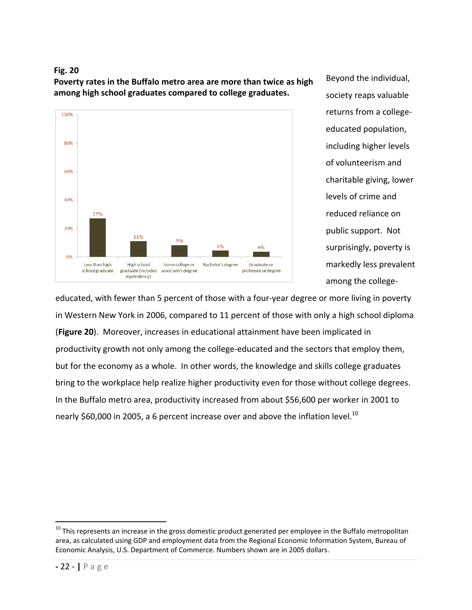#### **Fig. 20**

**Poverty rates in the Buffalo metro area are more than twice as high among high school graduates compared to college graduates.** 



Beyond the individual, society reaps valuable returns from a college‐ educated population, including higher levels of volunteerism and charitable giving, lower levels of crime and reduced reliance on public support. Not surprisingly, poverty is markedly less prevalent among the college‐

educated, with fewer than 5 percent of those with a four‐year degree or more living in poverty in Western New York in 2006, compared to 11 percent of those with only a high school diploma (**Figure 20**). Moreover, increases in educational attainment have been implicated in productivity growth not only among the college‐educated and the sectors that employ them, but for the economy as a whole. In other words, the knowledge and skills college graduates bring to the workplace help realize higher productivity even for those without college degrees. In the Buffalo metro area, productivity increased from about \$56,600 per worker in 2001 to nearly \$60,000 in 2005, a 6 percent increase over and above the inflation level.<sup>10</sup>

 $\overline{a}$ 

 $^{10}$  This represents an increase in the gross domestic product generated per employee in the Buffalo metropolitan area, as calculated using GDP and employment data from the Regional Economic Information System, Bureau of Economic Analysis, U.S. Department of Commerce. Numbers shown are in 2005 dollars.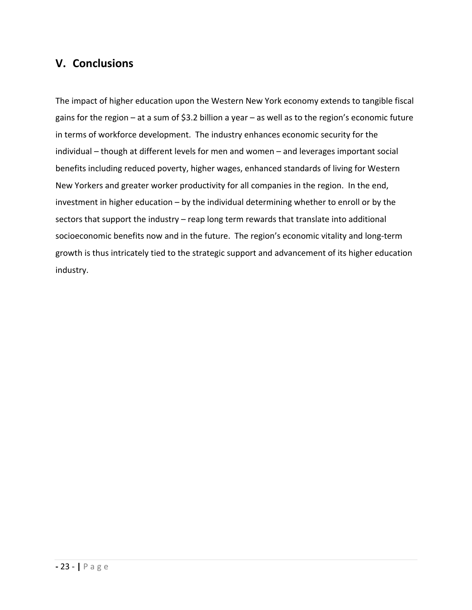## **V. Conclusions**

The impact of higher education upon the Western New York economy extends to tangible fiscal gains for the region – at a sum of \$3.2 billion a year – as well as to the region's economic future in terms of workforce development. The industry enhances economic security for the individual – though at different levels for men and women – and leverages important social benefits including reduced poverty, higher wages, enhanced standards of living for Western New Yorkers and greater worker productivity for all companies in the region. In the end, investment in higher education – by the individual determining whether to enroll or by the sectors that support the industry – reap long term rewards that translate into additional socioeconomic benefits now and in the future. The region's economic vitality and long-term growth is thus intricately tied to the strategic support and advancement of its higher education industry.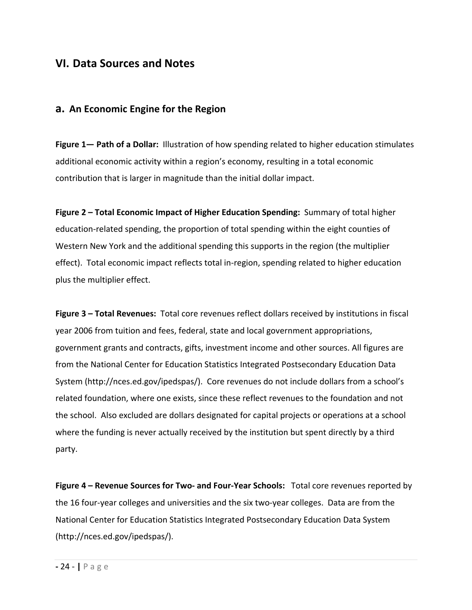## **VI. Data Sources and Notes**

### **a. An Economic Engine for the Region**

**Figure 1— Path of a Dollar:** Illustration of how spending related to higher education stimulates additional economic activity within a region's economy, resulting in a total economic contribution that is larger in magnitude than the initial dollar impact.

**Figure 2 – Total Economic Impact of Higher Education Spending:** Summary of total higher education‐related spending, the proportion of total spending within the eight counties of Western New York and the additional spending this supports in the region (the multiplier effect). Total economic impact reflects total in‐region, spending related to higher education plus the multiplier effect.

**Figure 3 – Total Revenues:** Total core revenues reflect dollars received by institutions in fiscal year 2006 from tuition and fees, federal, state and local government appropriations, government grants and contracts, gifts, investment income and other sources. All figures are from the National Center for Education Statistics Integrated Postsecondary Education Data System (http://nces.ed.gov/ipedspas/). Core revenues do not include dollars from a school's related foundation, where one exists, since these reflect revenues to the foundation and not the school. Also excluded are dollars designated for capital projects or operations at a school where the funding is never actually received by the institution but spent directly by a third party.

**Figure 4 – Revenue Sources for Two‐ and Four‐Year Schools:** Total core revenues reported by the 16 four-year colleges and universities and the six two-year colleges. Data are from the National Center for Education Statistics Integrated Postsecondary Education Data System (http://nces.ed.gov/ipedspas/).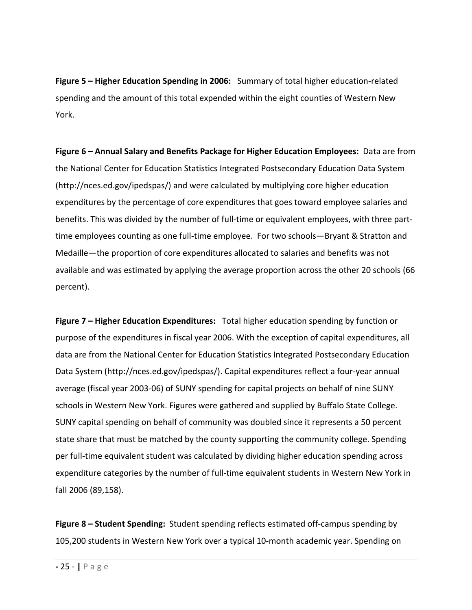**Figure 5 – Higher Education Spending in 2006:** Summary of total higher education‐related spending and the amount of this total expended within the eight counties of Western New York.

**Figure 6 – Annual Salary and Benefits Package for Higher Education Employees:** Data are from the National Center for Education Statistics Integrated Postsecondary Education Data System (http://nces.ed.gov/ipedspas/) and were calculated by multiplying core higher education expenditures by the percentage of core expenditures that goes toward employee salaries and benefits. This was divided by the number of full‐time or equivalent employees, with three part‐ time employees counting as one full-time employee. For two schools—Bryant & Stratton and Medaille—the proportion of core expenditures allocated to salaries and benefits was not available and was estimated by applying the average proportion across the other 20 schools (66 percent).

**Figure 7 – Higher Education Expenditures:** Total higher education spending by function or purpose of the expenditures in fiscal year 2006. With the exception of capital expenditures, all data are from the National Center for Education Statistics Integrated Postsecondary Education Data System (http://nces.ed.gov/ipedspas/). Capital expenditures reflect a four‐year annual average (fiscal year 2003‐06) of SUNY spending for capital projects on behalf of nine SUNY schools in Western New York. Figures were gathered and supplied by Buffalo State College. SUNY capital spending on behalf of community was doubled since it represents a 50 percent state share that must be matched by the county supporting the community college. Spending per full‐time equivalent student was calculated by dividing higher education spending across expenditure categories by the number of full-time equivalent students in Western New York in fall 2006 (89,158).

**Figure 8 – Student Spending:** Student spending reflects estimated off‐campus spending by 105,200 students in Western New York over a typical 10‐month academic year. Spending on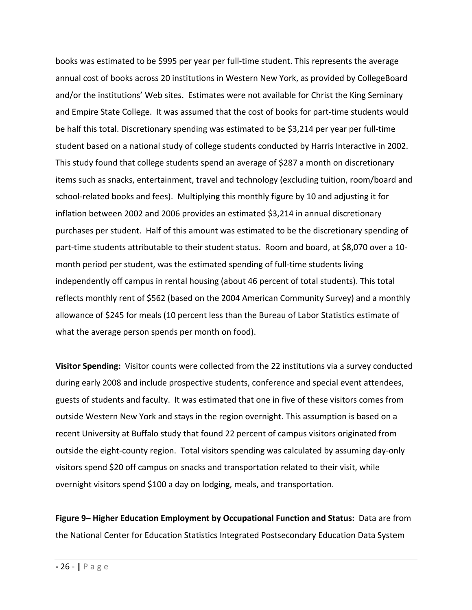books was estimated to be \$995 per year per full‐time student. This represents the average annual cost of books across 20 institutions in Western New York, as provided by CollegeBoard and/or the institutions' Web sites. Estimates were not available for Christ the King Seminary and Empire State College. It was assumed that the cost of books for part‐time students would be half this total. Discretionary spending was estimated to be \$3,214 per year per full‐time student based on a national study of college students conducted by Harris Interactive in 2002. This study found that college students spend an average of \$287 a month on discretionary items such as snacks, entertainment, travel and technology (excluding tuition, room/board and school-related books and fees). Multiplying this monthly figure by 10 and adjusting it for inflation between 2002 and 2006 provides an estimated \$3,214 in annual discretionary purchases per student. Half of this amount was estimated to be the discretionary spending of part-time students attributable to their student status. Room and board, at \$8,070 over a 10month period per student, was the estimated spending of full-time students living independently off campus in rental housing (about 46 percent of total students). This total reflects monthly rent of \$562 (based on the 2004 American Community Survey) and a monthly allowance of \$245 for meals (10 percent less than the Bureau of Labor Statistics estimate of what the average person spends per month on food).

**Visitor Spending:** Visitor counts were collected from the 22 institutions via a survey conducted during early 2008 and include prospective students, conference and special event attendees, guests of students and faculty. It was estimated that one in five of these visitors comes from outside Western New York and stays in the region overnight. This assumption is based on a recent University at Buffalo study that found 22 percent of campus visitors originated from outside the eight-county region. Total visitors spending was calculated by assuming day-only visitors spend \$20 off campus on snacks and transportation related to their visit, while overnight visitors spend \$100 a day on lodging, meals, and transportation.

**Figure 9– Higher Education Employment by Occupational Function and Status:** Data are from the National Center for Education Statistics Integrated Postsecondary Education Data System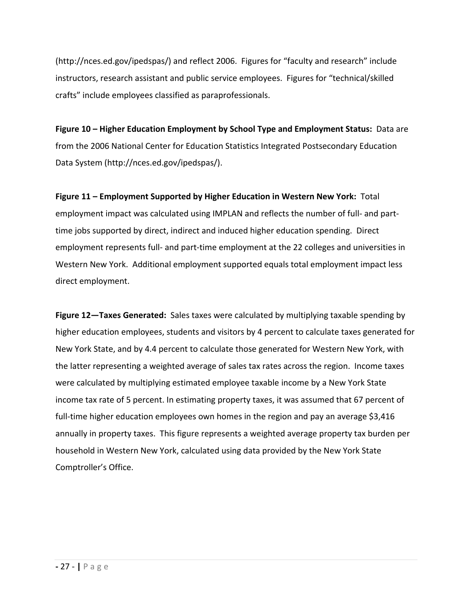(http://nces.ed.gov/ipedspas/) and reflect 2006. Figures for "faculty and research" include instructors, research assistant and public service employees. Figures for "technical/skilled crafts" include employees classified as paraprofessionals.

**Figure 10 – Higher Education Employment by School Type and Employment Status:** Data are from the 2006 National Center for Education Statistics Integrated Postsecondary Education Data System (http://nces.ed.gov/ipedspas/).

**Figure 11 – Employment Supported by Higher Education in Western New York:** Total employment impact was calculated using IMPLAN and reflects the number of full- and parttime jobs supported by direct, indirect and induced higher education spending. Direct employment represents full‐ and part‐time employment at the 22 colleges and universities in Western New York. Additional employment supported equals total employment impact less direct employment.

**Figure 12—Taxes Generated:** Sales taxes were calculated by multiplying taxable spending by higher education employees, students and visitors by 4 percent to calculate taxes generated for New York State, and by 4.4 percent to calculate those generated for Western New York, with the latter representing a weighted average of sales tax rates across the region. Income taxes were calculated by multiplying estimated employee taxable income by a New York State income tax rate of 5 percent. In estimating property taxes, it was assumed that 67 percent of full-time higher education employees own homes in the region and pay an average \$3,416 annually in property taxes. This figure represents a weighted average property tax burden per household in Western New York, calculated using data provided by the New York State Comptroller's Office.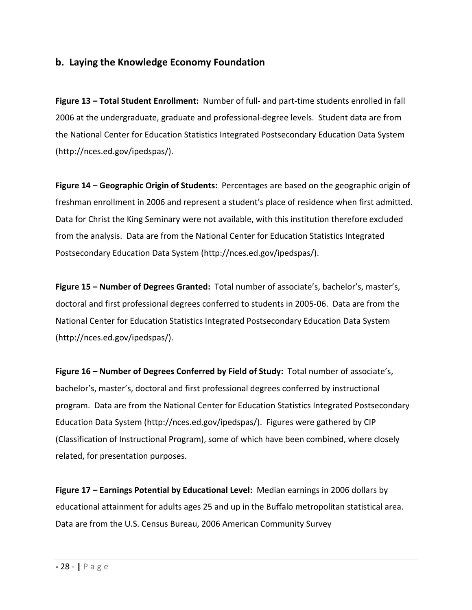### **b. Laying the Knowledge Economy Foundation**

**Figure 13 – Total Student Enrollment:** Number of full‐ and part‐time students enrolled in fall 2006 at the undergraduate, graduate and professional‐degree levels. Student data are from the National Center for Education Statistics Integrated Postsecondary Education Data System (http://nces.ed.gov/ipedspas/).

**Figure 14 – Geographic Origin of Students:** Percentages are based on the geographic origin of freshman enrollment in 2006 and represent a student's place of residence when first admitted. Data for Christ the King Seminary were not available, with this institution therefore excluded from the analysis. Data are from the National Center for Education Statistics Integrated Postsecondary Education Data System (http://nces.ed.gov/ipedspas/).

**Figure 15 – Number of Degrees Granted:** Total number of associate's, bachelor's, master's, doctoral and first professional degrees conferred to students in 2005‐06. Data are from the National Center for Education Statistics Integrated Postsecondary Education Data System (http://nces.ed.gov/ipedspas/).

**Figure 16 – Number of Degrees Conferred by Field of Study:** Total number of associate's, bachelor's, master's, doctoral and first professional degrees conferred by instructional program. Data are from the National Center for Education Statistics Integrated Postsecondary Education Data System (http://nces.ed.gov/ipedspas/). Figures were gathered by CIP (Classification of Instructional Program), some of which have been combined, where closely related, for presentation purposes.

**Figure 17 – Earnings Potential by Educational Level:** Median earnings in 2006 dollars by educational attainment for adults ages 25 and up in the Buffalo metropolitan statistical area. Data are from the U.S. Census Bureau, 2006 American Community Survey